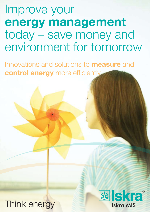# Improve your energy management today – save money and environment for tomorrow

Innovations and solutions to **measure** and control energy more efficiently

## Think energy

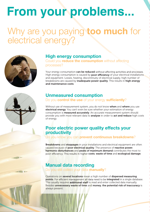# **From your problems...**

## Why are you paying too much for electrical energy?



#### High energy consumption

Could you **reduce the consumption** without affecting processes?

Your energy consumption can be reduced without affecting activities and processes. High energy consumption is caused by **poor efficiency** of your electrical installations and equipment. Losses, heating, discontinuity of electrical supply, high number of breakdowns are caused by *inadequate power quality*. This results in *high energy* and maintenance costs.



**CONTRACTOR** 

#### Unmeasured consumption

#### Do you **control the use** of your energy **sufficiently**?

Without use of measurement system, you do not know when and where you use electrical energy. You can't even be sure whether your estimation of energy consumption is **measured accurately**. An accurate measurement system should provide you with most relevant data to **analyze** in order to act and reduce high costs of energy.

#### Poor electric power quality effects your productivity

Do you know you can **prevent continuous breakdowns**?

**Breakdowns** and **stoppages** in your installations and electrical equipment are often caused because of poor electrical quality. The presence of reactive power, harmonic disturbances and peaks of maximum demand contributes the most to poor efficiency. This results in higher costs, waste of time and ecological damage.

#### Manual data recording

Do you still collect your data **manually**?

Operations on several locations mean a high number of dispersed measuring points. For efficient management all data need to be integrated in a single database. This usually requires additional staff to read and enter collected data manually. Besides unnecessary waste of time and money, the potential risk of inaccuracy is always present.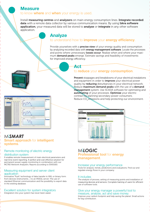#### **Measure**

#### to know **where** and **when** your energy is used.

Install measuring centres and analyzers on main energy consumption lines. Integrate recorded data with a remote data collector by various communication means. By using Iskra software application, your measured data will be stored to analyze or integrate in any other software application.

#### Analyze

#### to understand how to *improve* your energy efficiency.

Provide yourselves with a **precise view** of your energy quality and consumption by analyzing recorded data with energy management software. Locate the processes and points where unnecessary losses occur. Realize when and where your maximum **demand peaks** emerge. Estimate savings and feasibility of investments for improved energy efficiency.

#### Act

#### to reduce your energy consumption.

Prevent stoppages and breakdowns of your electrical instalations and equipment in order to *improve* your electrical power quality by reducing disturbancies in your electrical network. Reduce **maximum demand peaks** with the use of a **demand** management system. Use SCADA software for optimizing and automating of your processes. Optimize your electric contract by planning secondary power consumers. Reduce CO<sub>2</sub> emissions and help protecting our environment.



#### Mi*LOGIC*  **Professional tool for energy** management.

#### Increase your energy performance

Tools for analysis, trends, predictions and evaluations. Find out and regulate energy flows in your company.

#### It includes

The analysis of process, setting of measuring points and installation of measuring devices and sensors. Complete training of users for efficient use of software tools.

#### Give your energy manager a powerful tool to measure, analyse, act and save money

Improve your carbon footprint and help saving the planet. Small actions for big contribution.



# **MISMART**

#### Mi*SMART* **Smart approach for intelligent** systems.

#### Remote monitoring of electric energy distribution system

It enables remote measurement of main electrical parameters and real time event reporting. A perfect and cost effective solution for permanent power supply monitoring in combination with our MC760 Network Analysers. Reports according to EN50160.

#### Measuring equipment and server client application

Innovative "Push" technology of data transfer in XML or binary form from devices (instruments…) to an MSSQL server. The use of standard Ethernet communication and the possibility to export data in the existing database.

#### Excellent solution for system integrators

Integration into your system has never been easier.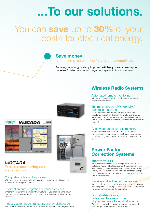# ...To our solutions.

## You can save up to 30% of your costs for electrical energy.

#### Save money

and become more cost **efficient** and **competitive**.

Reduce your energy costs by improved efficiency, lower consumption, decreased disturbancies and negative impacts to the environment.

#### Wireless Radio Systems

Automated remote monitoring Minimum costs with setting up the system on new or existing infrastructure.

#### The most efficient LPR (868 MHz) system in the world

With innovative patented technology, capable of excellent penetration through the walls, and Ethernet based data concentrators with high receivers capacity and mesh network functionality any infrastructure can be covered.

#### Gas, water and electricity metering

A perfect and simple solution if you need to use a wireless radio system to cover existing or new meters. With up to 10 years of endurance. Fit and forget is our moto.

#### Power Factor Correction Systems

#### Improve your PF

most electrical devices such as asynchronous motors, collective motors of rotation current, transformers, etc. need working power and reactive power for their own activity. That results both in additional costs for energy supply and also in additional loads on transmission lines and other elements.

#### Passive and active compensation

Such conditions can be improved with compensation of reactive power by fitting a suitable capacitor between the inductive consumer and the generator.

#### For industrial plants, public institutions or other big consumers of electrical energy

We can use individual, group or central compensation according to the needs of our customer.



® Iskra

#### Mi*SCADA* Real time **monitoring** and visualisation.

#### Complete control of the process

With local or remote control and customized visualisation it is easy to achieve optimised performance.

#### Connection and integration of various devices

Whether you have the existing infrastructure or you are preparing a new one, we can help you establish complete control and automation of the processes.

#### Industry automation, transport, energy distribution

With the use of one of the best SCADA systems we can cover all your needs.

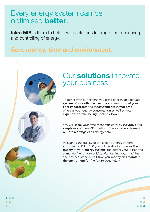## Every energy system can be optimised better.

**Iskra MIS** is there to help – with solutions for improved measuring and controlling of energy.

### Save money, time and environment.



## Our solutions innovate your business.

Together with our experts you can establish an adequate system of surveillance over the consumption of your energy, forecasts and measurements in real time, whereas your energy consumption as well as your expenditures will be significantly lower.

You will spare your time more efficiently by *inovative* and simple use of Iskra MIS solutions. They enable automatic remote readings of all energy data.

Measuring the quality of the electric energy system according to EN 50160 you will be able to **improve the** quality of your energy system, and detect your losses and eliminate them more quickly. Maintaining your machines and devices properly will save you money and maintain the enviroment for the future generations.